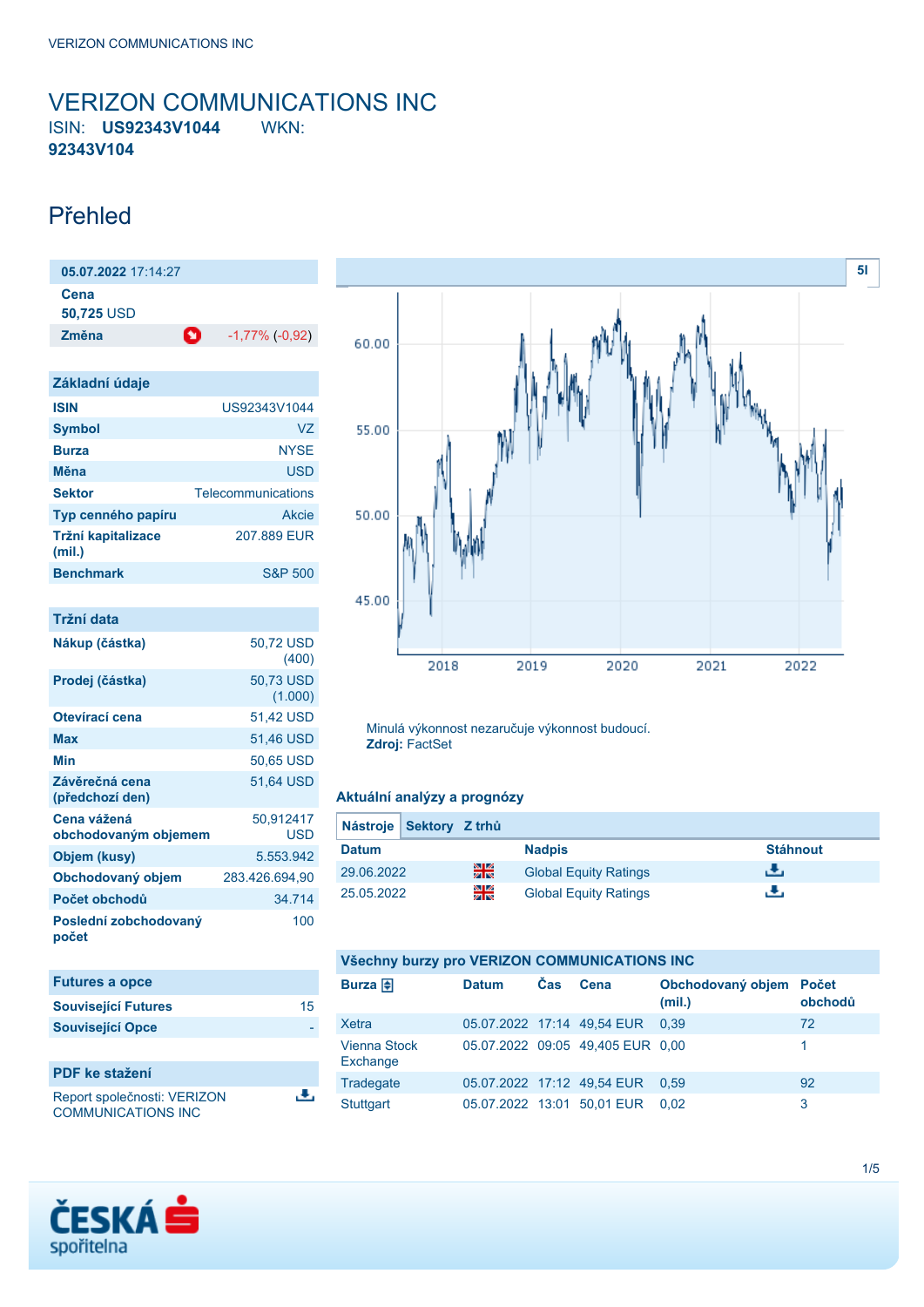## <span id="page-0-0"></span>VERIZON COMMUNICATIONS INC ISIN: **US92343V1044** WKN: **92343V104**

# Přehled

| 05.07.2022 17:14:27                 |                         |
|-------------------------------------|-------------------------|
| Cena<br>50,725 USD                  |                         |
| Změna<br>O                          | $-1,77\%$ ( $-0,92$ )   |
|                                     |                         |
| Základní údaje                      |                         |
| <b>ISIN</b>                         | US92343V1044            |
| <b>Symbol</b>                       | VZ                      |
| <b>Burza</b>                        | <b>NYSF</b>             |
| Měna                                | <b>USD</b>              |
| <b>Sektor</b>                       | Telecommunications      |
| Typ cenného papíru                  | <b>Akcie</b>            |
| Tržní kapitalizace<br>(mil.)        | 207.889 EUR             |
| <b>Benchmark</b>                    | <b>S&amp;P 500</b>      |
|                                     |                         |
| Tržní data                          |                         |
| Nákup (částka)                      | 50,72 USD<br>(400)      |
| Prodej (částka)                     | 50,73 USD<br>(1.000)    |
| Otevírací cena                      | 51,42 USD               |
| <b>Max</b>                          | 51,46 USD               |
| Min                                 | 50,65 USD               |
| Závěrečná cena<br>(předchozí den)   | 51,64 USD               |
| Cena vážená<br>obchodovaným objemem | 50.912417<br><b>USD</b> |
| Objem (kusy)                        | 5.553.942               |
| Obchodovaný objem                   | 283.426.694,90          |
| Počet obchodů                       | 34.714                  |

| <b>Futures a opce</b>       |    |
|-----------------------------|----|
| <b>Související Futures</b>  | 15 |
| <b>Související Opce</b>     |    |
|                             |    |
| <b>PDF</b> ke stažení       |    |
| Report společnosti: VERIZON |    |

100

Report společnosti: VERIZON COMMUNICATIONS INC

**Poslední zobchodovaný**

**počet**





Minulá výkonnost nezaručuje výkonnost budoucí. **Zdroj:** FactSet

#### **Aktuální analýzy a prognózy**

| Nástroje Sektory Z trhů |    |                              |                 |
|-------------------------|----|------------------------------|-----------------|
| <b>Datum</b>            |    | <b>Nadpis</b>                | <b>Stáhnout</b> |
| 29.06.2022              | 꾉쭍 | <b>Global Equity Ratings</b> | æ,              |
| 25.05.2022              | 꾉뚢 | <b>Global Equity Ratings</b> | е.              |

## **Všechny burzy pro VERIZON COMMUNICATIONS INC**

| Burza $\bigoplus$               | <b>Datum</b> | <b>Čas</b> | Cena                             | Obchodovaný objem Počet<br>(mil.) | obchodů |
|---------------------------------|--------------|------------|----------------------------------|-----------------------------------|---------|
| Xetra                           |              |            | 05.07.2022 17:14 49.54 EUR       | 0.39                              | 72      |
| <b>Vienna Stock</b><br>Exchange |              |            | 05.07.2022 09:05 49,405 EUR 0,00 |                                   |         |
| Tradegate                       |              |            | 05.07.2022 17:12 49.54 EUR       | 0.59                              | 92      |
| Stuttgart                       |              |            | 05.07.2022 13:01 50,01 EUR       | 0.02                              | 3       |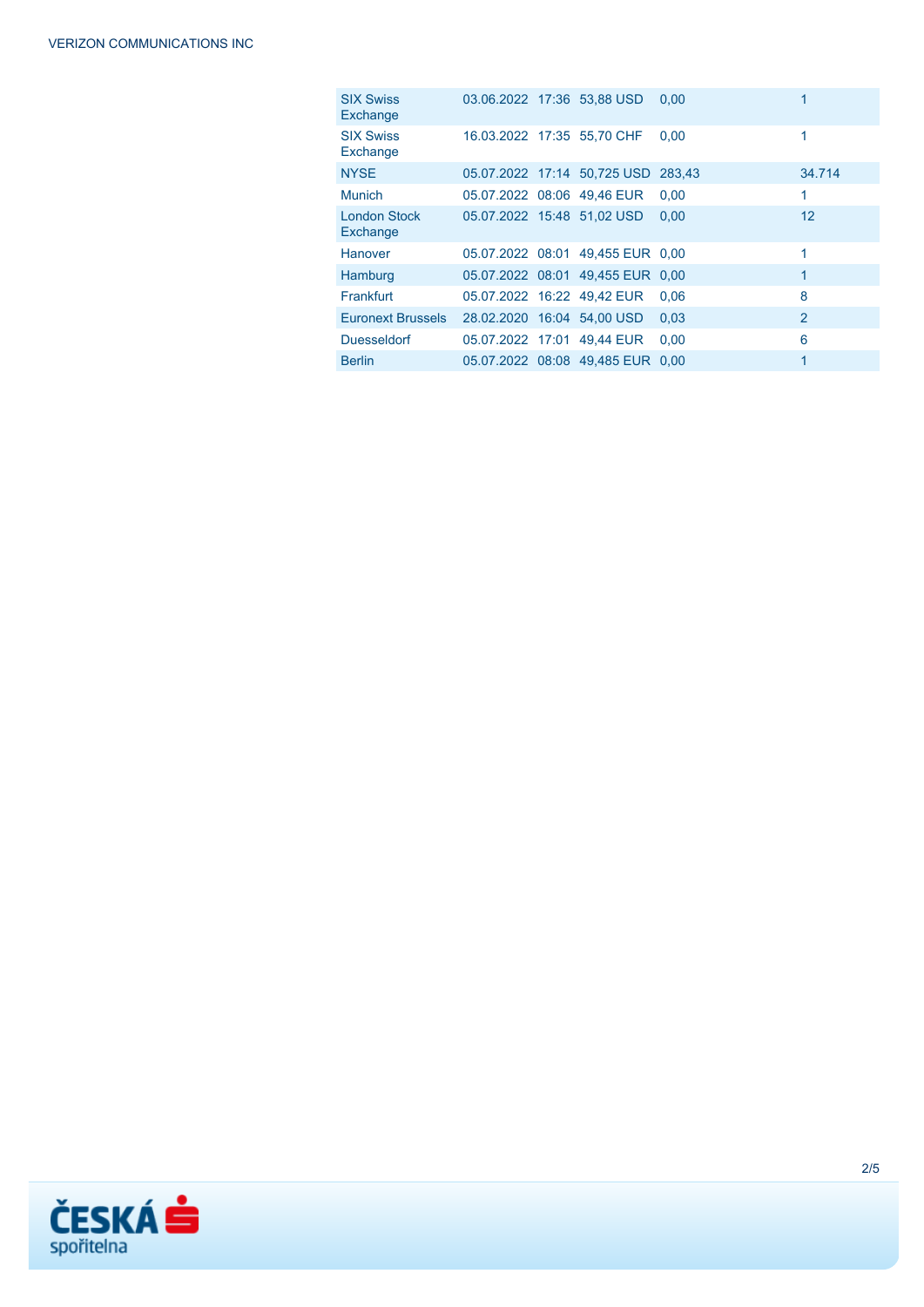| <b>SIX Swiss</b><br>Exchange    | 03.06.2022 17:36 53.88 USD |                                    | 0.00 |                |
|---------------------------------|----------------------------|------------------------------------|------|----------------|
| <b>SIX Swiss</b><br>Exchange    | 16.03.2022 17:35 55,70 CHF |                                    | 0.00 |                |
| <b>NYSE</b>                     |                            | 05.07.2022 17:14 50,725 USD 283,43 |      | 34.714         |
| <b>Munich</b>                   | 05.07.2022 08:06 49.46 EUR |                                    | 0.00 | 1              |
| <b>London Stock</b><br>Exchange | 05.07.2022 15:48 51,02 USD |                                    | 0.00 | 12             |
| Hanover                         |                            | 05.07.2022 08:01 49.455 EUR 0.00   |      | 1              |
| Hamburg                         |                            | 05.07.2022 08:01 49,455 EUR 0,00   |      | 1              |
| <b>Frankfurt</b>                | 05.07.2022 16:22 49.42 EUR |                                    | 0.06 | 8              |
| Euronext Brussels               | 28.02.2020 16:04 54,00 USD |                                    | 0.03 | $\overline{2}$ |
| <b>Duesseldorf</b>              | 05.07.2022 17:01 49,44 EUR |                                    | 0.00 | 6              |
| <b>Berlin</b>                   |                            | 05.07.2022 08:08 49.485 EUR 0.00   |      | 1              |

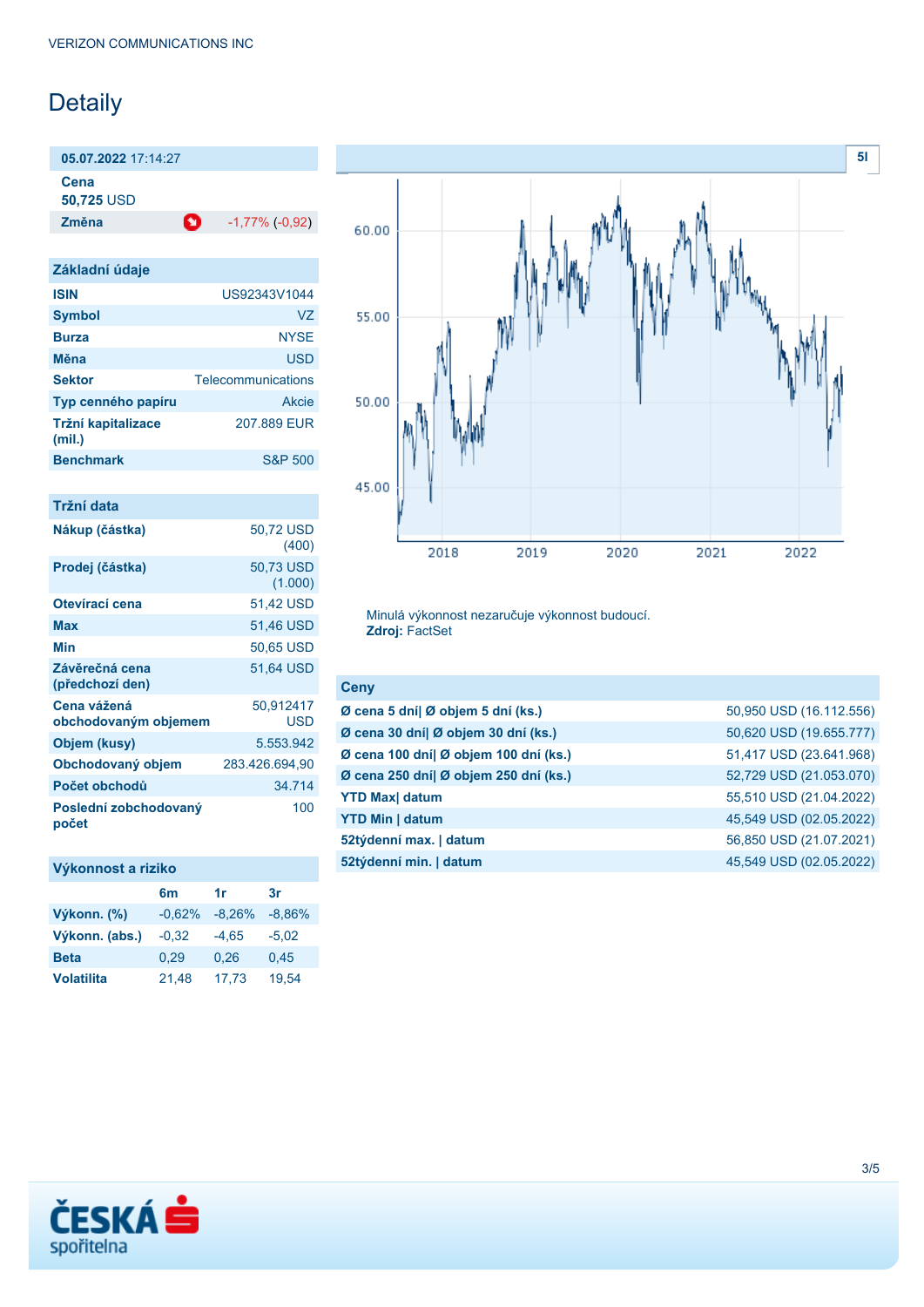# Detaily

**05.07.2022** 17:14:27

**Cena**

**50,725** USD

**Změna** -1,77% (-0,92)

| Základní údaje               |                    |
|------------------------------|--------------------|
| <b>ISIN</b>                  | US92343V1044       |
| <b>Symbol</b>                | VZ                 |
| <b>Burza</b>                 | <b>NYSE</b>        |
| Měna                         | <b>USD</b>         |
|                              |                    |
| <b>Sektor</b>                | Telecommunications |
| Typ cenného papíru           | Akcie              |
| Tržní kapitalizace<br>(mil.) | 207,889 FUR        |
| <b>Benchmark</b>             | <b>S&amp;P 500</b> |

| Tržní data                          |                      |
|-------------------------------------|----------------------|
| Nákup (částka)                      | 50,72 USD<br>(400)   |
| Prodej (částka)                     | 50.73 USD<br>(1.000) |
| Otevírací cena                      | 51,42 USD            |
| Max                                 | 51,46 USD            |
| Min                                 | 50.65 USD            |
| Závěrečná cena<br>(předchozí den)   | 51,64 USD            |
| Cena vážená<br>obchodovaným objemem | 50,912417<br>USD     |
| Objem (kusy)                        | 5.553.942            |
| Obchodovaný objem                   | 283.426.694.90       |
| Počet obchodů                       | 34.714               |
| Poslední zobchodovaný<br>počet      | 100                  |

## **Výkonnost a riziko**

|                   | 6m       | 1r       | 3r       |
|-------------------|----------|----------|----------|
| Výkonn. (%)       | $-0.62%$ | $-8,26%$ | $-8,86%$ |
| Výkonn. (abs.)    | $-0,32$  | $-4.65$  | $-5,02$  |
| <b>Beta</b>       | 0.29     | 0.26     | 0,45     |
| <b>Volatilita</b> | 21,48    | 17.73    | 19.54    |



Minulá výkonnost nezaručuje výkonnost budoucí. **Zdroj:** FactSet

| 50,950 USD (16.112.556) |
|-------------------------|
| 50,620 USD (19.655.777) |
| 51,417 USD (23.641.968) |
| 52,729 USD (21.053.070) |
| 55,510 USD (21.04.2022) |
| 45,549 USD (02.05.2022) |
| 56,850 USD (21.07.2021) |
| 45,549 USD (02.05.2022) |
|                         |

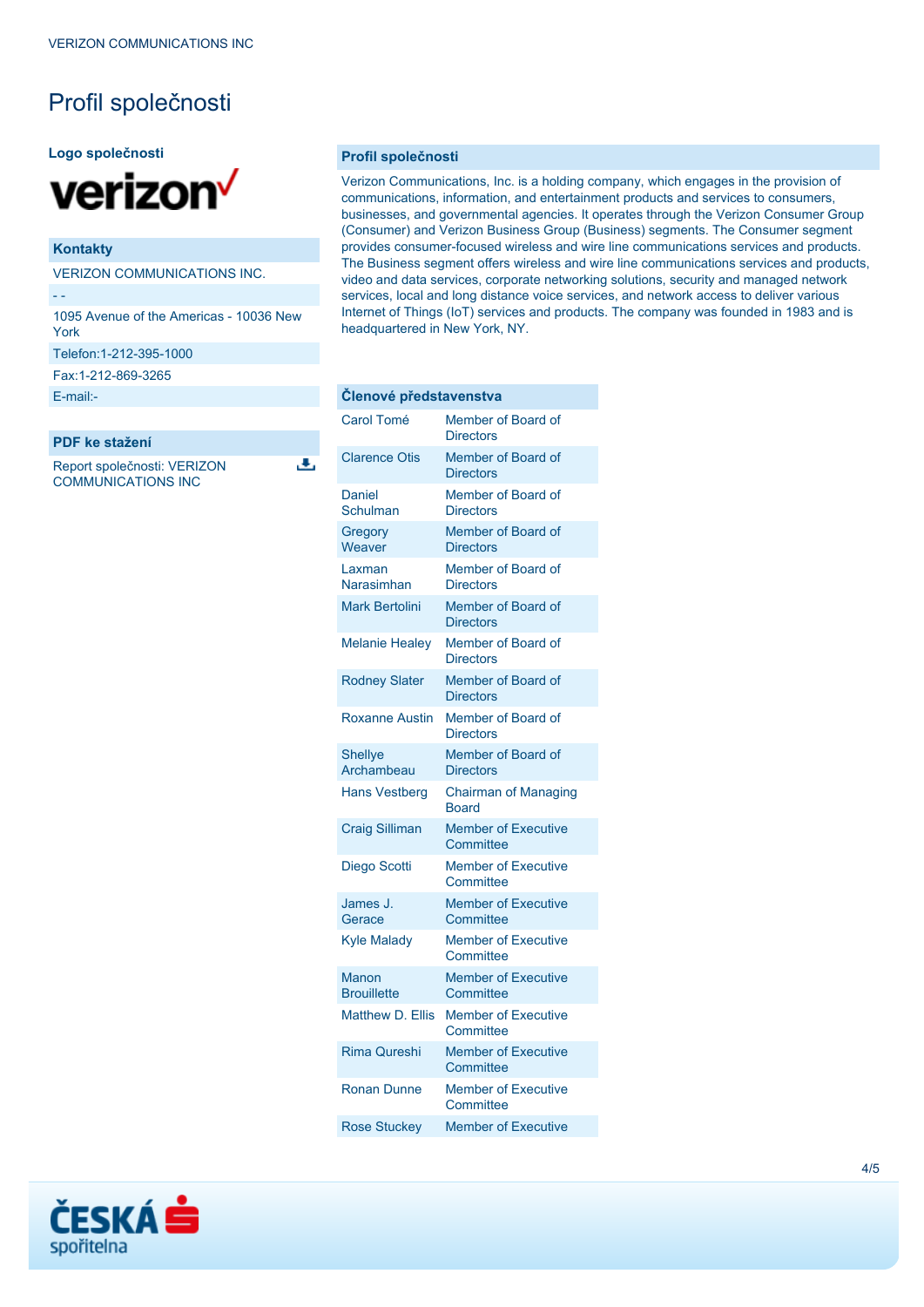# Profil společnosti

#### **Logo společnosti**



### **Kontakty**

VERIZON COMMUNICATIONS INC.

- -

1095 Avenue of the Americas - 10036 New York

Telefon:1-212-395-1000

Fax:1-212-869-3265

[E-mail:-](mailto:-)

**PDF ke stažení**

Report společnosti: VERIZON COMMUNICATIONS INC

ٹ

#### **Profil společnosti**

Verizon Communications, Inc. is a holding company, which engages in the provision of communications, information, and entertainment products and services to consumers, businesses, and governmental agencies. It operates through the Verizon Consumer Group (Consumer) and Verizon Business Group (Business) segments. The Consumer segment provides consumer-focused wireless and wire line communications services and products. The Business segment offers wireless and wire line communications services and products, video and data services, corporate networking solutions, security and managed network services, local and long distance voice services, and network access to deliver various Internet of Things (IoT) services and products. The company was founded in 1983 and is headquartered in New York, NY.

| Členové představenstva       |                                             |  |
|------------------------------|---------------------------------------------|--|
| Carol Tomé                   | Member of Board of<br><b>Directors</b>      |  |
| <b>Clarence Otis</b>         | Member of Board of<br><b>Directors</b>      |  |
| Daniel<br>Schulman           | Member of Board of<br><b>Directors</b>      |  |
| Gregory<br>Weaver            | Member of Board of<br><b>Directors</b>      |  |
| Laxman<br>Narasimhan         | Member of Board of<br><b>Directors</b>      |  |
| <b>Mark Bertolini</b>        | Member of Board of<br><b>Directors</b>      |  |
| <b>Melanie Healey</b>        | Member of Board of<br><b>Directors</b>      |  |
| <b>Rodney Slater</b>         | Member of Board of<br><b>Directors</b>      |  |
| <b>Roxanne Austin</b>        | Member of Board of<br><b>Directors</b>      |  |
| <b>Shellye</b><br>Archambeau | Member of Board of<br><b>Directors</b>      |  |
| <b>Hans Vestberg</b>         | <b>Chairman of Managing</b><br><b>Board</b> |  |
| <b>Craig Silliman</b>        | <b>Member of Executive</b><br>Committee     |  |
| Diego Scotti                 | <b>Member of Executive</b><br>Committee     |  |
| James J.<br>Gerace           | <b>Member of Executive</b><br>Committee     |  |
| <b>Kyle Malady</b>           | <b>Member of Executive</b><br>Committee     |  |
| Manon<br><b>Brouillette</b>  | <b>Member of Executive</b><br>Committee     |  |
| <b>Matthew D. Ellis</b>      | <b>Member of Executive</b><br>Committee     |  |
| <b>Rima Qureshi</b>          | <b>Member of Executive</b><br>Committee     |  |
| <b>Ronan Dunne</b>           | <b>Member of Executive</b><br>Committee     |  |
| <b>Rose Stuckey</b>          | <b>Member of Executive</b>                  |  |